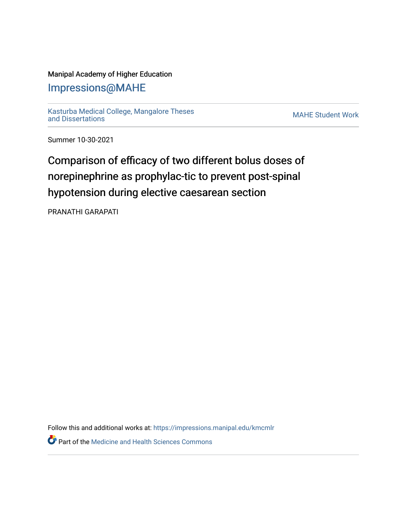### Manipal Academy of Higher Education

### [Impressions@MAHE](https://impressions.manipal.edu/)

[Kasturba Medical College, Mangalore Theses](https://impressions.manipal.edu/kmcmlr) [and Dissertations](https://impressions.manipal.edu/kmcmlr) [MAHE Student Work](https://impressions.manipal.edu/student-work) 

Summer 10-30-2021

# Comparison of efficacy of two different bolus doses of norepinephrine as prophylac-tic to prevent post-spinal hypotension during elective caesarean section

PRANATHI GARAPATI

Follow this and additional works at: [https://impressions.manipal.edu/kmcmlr](https://impressions.manipal.edu/kmcmlr?utm_source=impressions.manipal.edu%2Fkmcmlr%2F256&utm_medium=PDF&utm_campaign=PDFCoverPages) 

**Part of the Medicine and Health Sciences Commons**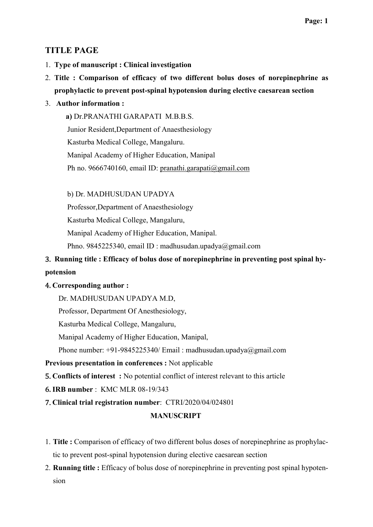### TITLE PAGE

- 1. Type of manuscript : Clinical investigation
- 2. Title : Comparison of efficacy of two different bolus doses of norepinephrine as prophylactic to prevent post-spinal hypotension during elective caesarean section

### 3. Author information :

 a) Dr.PRANATHI GARAPATI M.B.B.S. Junior Resident,Department of Anaesthesiology Kasturba Medical College, Mangaluru. Manipal Academy of Higher Education, Manipal Ph no. 9666740160, email ID: pranathi.garapati@gmail.com

### b) Dr. MADHUSUDAN UPADYA

Professor,Department of Anaesthesiology

Kasturba Medical College, Mangaluru,

Manipal Academy of Higher Education, Manipal.

Phno. 9845225340, email ID : madhusudan.upadya@gmail.com

## 3. Running title : Efficacy of bolus dose of norepinephrine in preventing post spinal hypotension

### 4. Corresponding author :

Dr. MADHUSUDAN UPADYA M.D,

Professor, Department Of Anesthesiology,

Kasturba Medical College, Mangaluru,

Manipal Academy of Higher Education, Manipal,

Phone number: +91-9845225340/ Email : madhusudan.upadya@gmail.com

### Previous presentation in conferences : Not applicable

5. Conflicts of interest : No potential conflict of interest relevant to this article

6. IRB number : KMC MLR 08-19/343

7. Clinical trial registration number: CTRI/2020/04/024801

### MANUSCRIPT

- 1. Title : Comparison of efficacy of two different bolus doses of norepinephrine as prophylactic to prevent post-spinal hypotension during elective caesarean section
- 2. Running title : Efficacy of bolus dose of norepinephrine in preventing post spinal hypotension